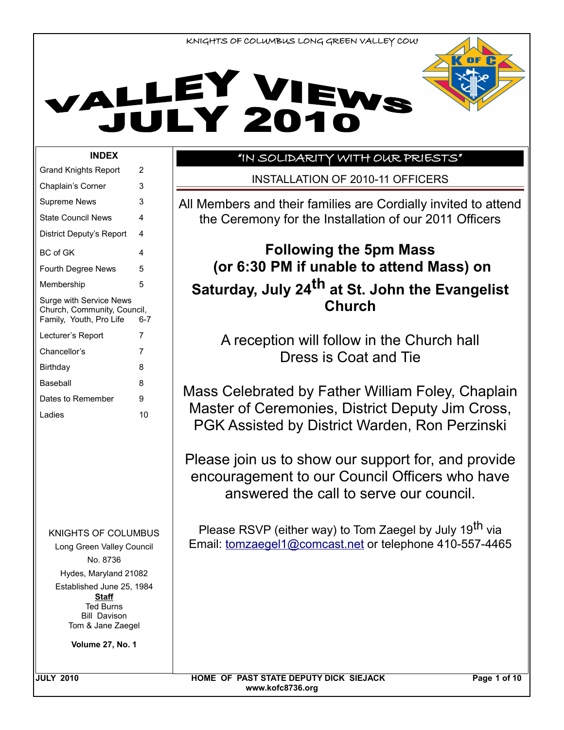# VALLEY VIEWS



#### **INDEX**

| Grand Knights Report                                                                                      | 2       |  |  |  |
|-----------------------------------------------------------------------------------------------------------|---------|--|--|--|
| Chaplain's Corner                                                                                         | 3       |  |  |  |
| <b>Supreme News</b>                                                                                       | 3       |  |  |  |
| <b>State Council News</b>                                                                                 | 4       |  |  |  |
| District Deputy's Report                                                                                  | 4       |  |  |  |
| <b>BC</b> of GK                                                                                           | 4       |  |  |  |
| <b>Fourth Degree News</b>                                                                                 | 5       |  |  |  |
| Membership                                                                                                | 5       |  |  |  |
| Surge with Service News<br>Church, Community, Council,<br>Family, Youth, Pro Life                         | $6 - 7$ |  |  |  |
| Lecturer's Report                                                                                         | 7       |  |  |  |
| Chancellor's                                                                                              | 7       |  |  |  |
| Birthdav                                                                                                  | 8       |  |  |  |
| Baseball                                                                                                  | 8       |  |  |  |
| Dates to Remember                                                                                         | 9       |  |  |  |
| I adies                                                                                                   | 10      |  |  |  |
|                                                                                                           |         |  |  |  |
| KNIGHTS OF COLUMBUS<br>Long Green Valley Council<br>No. 8736                                              |         |  |  |  |
| Hydes, Maryland 21082                                                                                     |         |  |  |  |
| Established June 25, 1984<br><b>Staff</b><br><b>Ted Burns</b><br><b>Bill Davison</b><br>Tom & Jane Zaegel |         |  |  |  |

**Volume 27, No. 1**

## "IN SOLIDARITY WITH OUR PRIESTS"

INSTALLATION OF 2010-11 OFFICERS

All Members and their families are Cordially invited to attend the Ceremony for the Installation of our 2011 Officers

## **Following the 5pm Mass (or 6:30 PM if unable to attend Mass) on Saturday, July 24th at St. John the Evangelist Church**

A reception will follow in the Church hall Dress is Coat and Tie

Mass Celebrated by Father William Foley, Chaplain Master of Ceremonies, District Deputy Jim Cross, PGK Assisted by District Warden, Ron Perzinski

Please join us to show our support for, and provide encouragement to our Council Officers who have answered the call to serve our council.

Please RSVP (either way) to Tom Zaegel by July 19<sup>th</sup> via Email: tomzaegel1@comcast.net or telephone 410-557-4465

JULY 2010 **EXAMPLE OF PAST STATE DEPUTY DICK SIEJACK** Page 1 of 10 **www.kofc8736.org**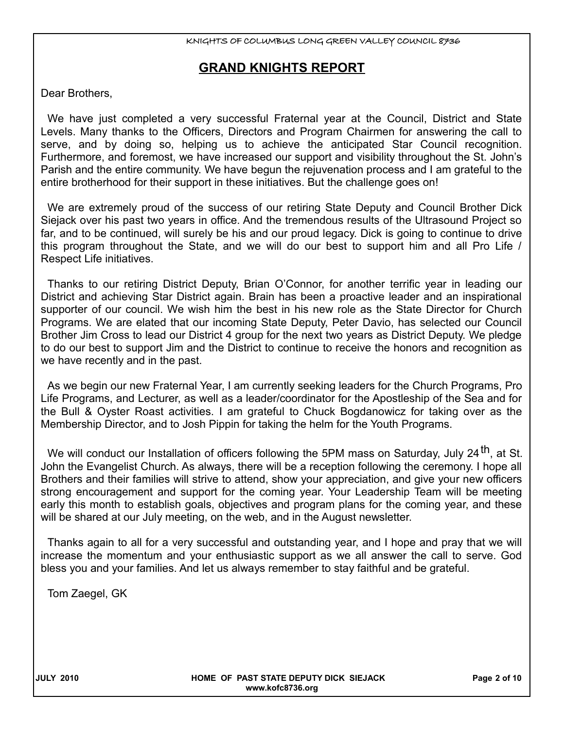## **GRAND KNIGHTS REPORT**

Dear Brothers,

We have just completed a very successful Fraternal year at the Council, District and State Levels. Many thanks to the Officers, Directors and Program Chairmen for answering the call to serve, and by doing so, helping us to achieve the anticipated Star Council recognition. Furthermore, and foremost, we have increased our support and visibility throughout the St. John's Parish and the entire community. We have begun the rejuvenation process and I am grateful to the entire brotherhood for their support in these initiatives. But the challenge goes on!

We are extremely proud of the success of our retiring State Deputy and Council Brother Dick Siejack over his past two years in office. And the tremendous results of the Ultrasound Project so far, and to be continued, will surely be his and our proud legacy. Dick is going to continue to drive this program throughout the State, and we will do our best to support him and all Pro Life / Respect Life initiatives.

Thanks to our retiring District Deputy, Brian O'Connor, for another terrific year in leading our District and achieving Star District again. Brain has been a proactive leader and an inspirational supporter of our council. We wish him the best in his new role as the State Director for Church Programs. We are elated that our incoming State Deputy, Peter Davio, has selected our Council Brother Jim Cross to lead our District 4 group for the next two years as District Deputy. We pledge to do our best to support Jim and the District to continue to receive the honors and recognition as we have recently and in the past.

As we begin our new Fraternal Year, I am currently seeking leaders for the Church Programs, Pro Life Programs, and Lecturer, as well as a leader/coordinator for the Apostleship of the Sea and for the Bull & Oyster Roast activities. I am grateful to Chuck Bogdanowicz for taking over as the Membership Director, and to Josh Pippin for taking the helm for the Youth Programs.

We will conduct our Installation of officers following the 5PM mass on Saturday, July 24<sup>th</sup>, at St. John the Evangelist Church. As always, there will be a reception following the ceremony. I hope all Brothers and their families will strive to attend, show your appreciation, and give your new officers strong encouragement and support for the coming year. Your Leadership Team will be meeting early this month to establish goals, objectives and program plans for the coming year, and these will be shared at our July meeting, on the web, and in the August newsletter.

Thanks again to all for a very successful and outstanding year, and I hope and pray that we will increase the momentum and your enthusiastic support as we all answer the call to serve. God bless you and your families. And let us always remember to stay faithful and be grateful.

Tom Zaegel, GK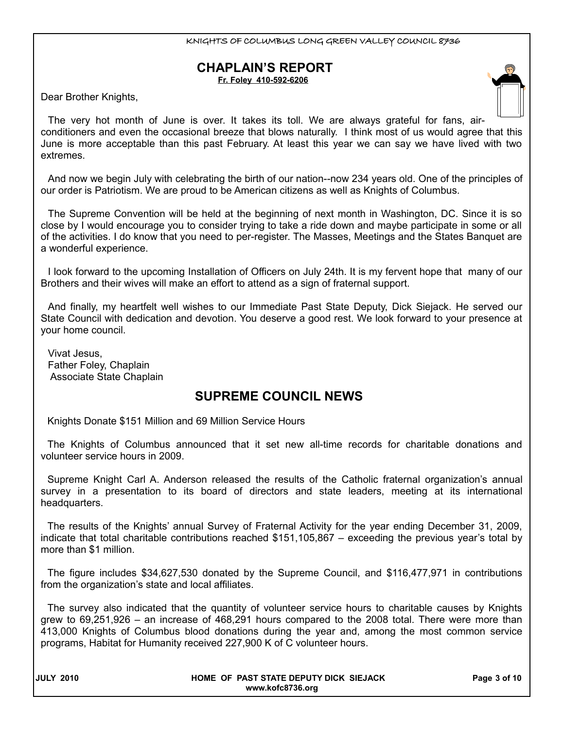#### **CHAPLAIN'S REPORT Fr. Foley 410-592-6206**

Dear Brother Knights,

The very hot month of June is over. It takes its toll. We are always grateful for fans, airconditioners and even the occasional breeze that blows naturally. I think most of us would agree that this June is more acceptable than this past February. At least this year we can say we have lived with two extremes.

And now we begin July with celebrating the birth of our nation--now 234 years old. One of the principles of our order is Patriotism. We are proud to be American citizens as well as Knights of Columbus.

The Supreme Convention will be held at the beginning of next month in Washington, DC. Since it is so close by I would encourage you to consider trying to take a ride down and maybe participate in some or all of the activities. I do know that you need to per-register. The Masses, Meetings and the States Banquet are a wonderful experience.

I look forward to the upcoming Installation of Officers on July 24th. It is my fervent hope that many of our Brothers and their wives will make an effort to attend as a sign of fraternal support.

And finally, my heartfelt well wishes to our Immediate Past State Deputy, Dick Siejack. He served our State Council with dedication and devotion. You deserve a good rest. We look forward to your presence at your home council.

Vivat Jesus, Father Foley, Chaplain Associate State Chaplain

## **SUPREME COUNCIL NEWS**

Knights Donate \$151 Million and 69 Million Service Hours

The Knights of Columbus announced that it set new all-time records for charitable donations and volunteer service hours in 2009.

Supreme Knight Carl A. Anderson released the results of the Catholic fraternal organization's annual survey in a presentation to its board of directors and state leaders, meeting at its international headquarters.

The results of the Knights' annual Survey of Fraternal Activity for the year ending December 31, 2009, indicate that total charitable contributions reached \$151,105,867 – exceeding the previous year's total by more than \$1 million.

The figure includes \$34,627,530 donated by the Supreme Council, and \$116,477,971 in contributions from the organization's state and local affiliates.

The survey also indicated that the quantity of volunteer service hours to charitable causes by Knights grew to 69,251,926 – an increase of 468,291 hours compared to the 2008 total. There were more than 413,000 Knights of Columbus blood donations during the year and, among the most common service programs, Habitat for Humanity received 227,900 K of C volunteer hours.

| <b>JULY 2010</b> |
|------------------|
|------------------|

#### **HOME OF PAST STATE DEPUTY DICK SIEJACK Page 3 of 10 www.kofc8736.org**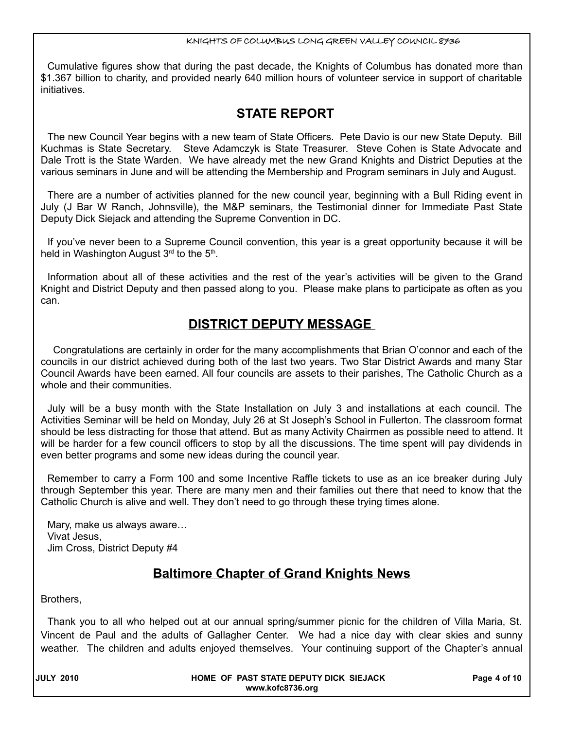Cumulative figures show that during the past decade, the Knights of Columbus has donated more than \$1.367 billion to charity, and provided nearly 640 million hours of volunteer service in support of charitable initiatives.

## **STATE REPORT**

The new Council Year begins with a new team of State Officers. Pete Davio is our new State Deputy. Bill Kuchmas is State Secretary. Steve Adamczyk is State Treasurer. Steve Cohen is State Advocate and Dale Trott is the State Warden. We have already met the new Grand Knights and District Deputies at the various seminars in June and will be attending the Membership and Program seminars in July and August.

There are a number of activities planned for the new council year, beginning with a Bull Riding event in July (J Bar W Ranch, Johnsville), the M&P seminars, the Testimonial dinner for Immediate Past State Deputy Dick Siejack and attending the Supreme Convention in DC.

If you've never been to a Supreme Council convention, this year is a great opportunity because it will be held in Washington August 3<sup>rd</sup> to the 5<sup>th</sup>.

Information about all of these activities and the rest of the year's activities will be given to the Grand Knight and District Deputy and then passed along to you. Please make plans to participate as often as you can.

## **DISTRICT DEPUTY MESSAGE**

 Congratulations are certainly in order for the many accomplishments that Brian O'connor and each of the councils in our district achieved during both of the last two years. Two Star District Awards and many Star Council Awards have been earned. All four councils are assets to their parishes, The Catholic Church as a whole and their communities.

July will be a busy month with the State Installation on July 3 and installations at each council. The Activities Seminar will be held on Monday, July 26 at St Joseph's School in Fullerton. The classroom format should be less distracting for those that attend. But as many Activity Chairmen as possible need to attend. It will be harder for a few council officers to stop by all the discussions. The time spent will pay dividends in even better programs and some new ideas during the council year.

Remember to carry a Form 100 and some Incentive Raffle tickets to use as an ice breaker during July through September this year. There are many men and their families out there that need to know that the Catholic Church is alive and well. They don't need to go through these trying times alone.

Mary, make us always aware… Vivat Jesus, Jim Cross, District Deputy #4

## **Baltimore Chapter of Grand Knights News**

Brothers,

Thank you to all who helped out at our annual spring/summer picnic for the children of Villa Maria, St. Vincent de Paul and the adults of Gallagher Center. We had a nice day with clear skies and sunny weather. The children and adults enjoyed themselves. Your continuing support of the Chapter's annual

**JULY 2010 HOME OF PAST STATE DEPUTY DICK SIEJACK Page 4 of 10 www.kofc8736.org**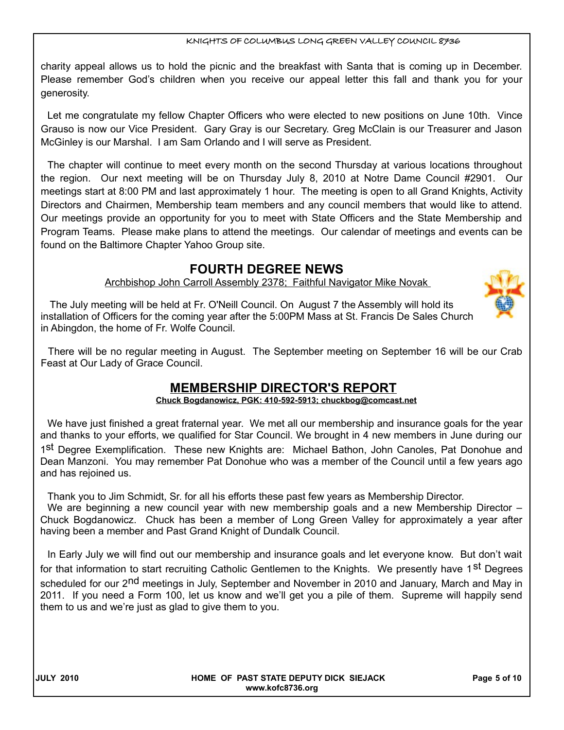charity appeal allows us to hold the picnic and the breakfast with Santa that is coming up in December. Please remember God's children when you receive our appeal letter this fall and thank you for your generosity.

Let me congratulate my fellow Chapter Officers who were elected to new positions on June 10th. Vince Grauso is now our Vice President. Gary Gray is our Secretary. Greg McClain is our Treasurer and Jason McGinley is our Marshal. I am Sam Orlando and I will serve as President.

The chapter will continue to meet every month on the second Thursday at various locations throughout the region. Our next meeting will be on Thursday July 8, 2010 at Notre Dame Council #2901. Our meetings start at 8:00 PM and last approximately 1 hour. The meeting is open to all Grand Knights, Activity Directors and Chairmen, Membership team members and any council members that would like to attend. Our meetings provide an opportunity for you to meet with State Officers and the State Membership and Program Teams. Please make plans to attend the meetings. Our calendar of meetings and events can be found on the Baltimore Chapter Yahoo Group site.

## **FOURTH DEGREE NEWS**

Archbishop John Carroll Assembly 2378; Faithful Navigator Mike Novak



There will be no regular meeting in August. The September meeting on September 16 will be our Crab Feast at Our Lady of Grace Council.

## **MEMBERSHIP DIRECTOR'S REPORT**

**Chuck Bogdanowicz, PGK: 410-592-5913; chuckbog@comcast.net**

We have just finished a great fraternal year. We met all our membership and insurance goals for the year and thanks to your efforts, we qualified for Star Council. We brought in 4 new members in June during our 1<sup>st</sup> Degree Exemplification. These new Knights are: Michael Bathon, John Canoles, Pat Donohue and Dean Manzoni. You may remember Pat Donohue who was a member of the Council until a few years ago and has rejoined us.

Thank you to Jim Schmidt, Sr. for all his efforts these past few years as Membership Director.

We are beginning a new council year with new membership goals and a new Membership Director – Chuck Bogdanowicz. Chuck has been a member of Long Green Valley for approximately a year after having been a member and Past Grand Knight of Dundalk Council.

In Early July we will find out our membership and insurance goals and let everyone know. But don't wait for that information to start recruiting Catholic Gentlemen to the Knights. We presently have 1<sup>st</sup> Degrees scheduled for our 2<sup>nd</sup> meetings in July, September and November in 2010 and January, March and May in 2011. If you need a Form 100, let us know and we'll get you a pile of them. Supreme will happily send them to us and we're just as glad to give them to you.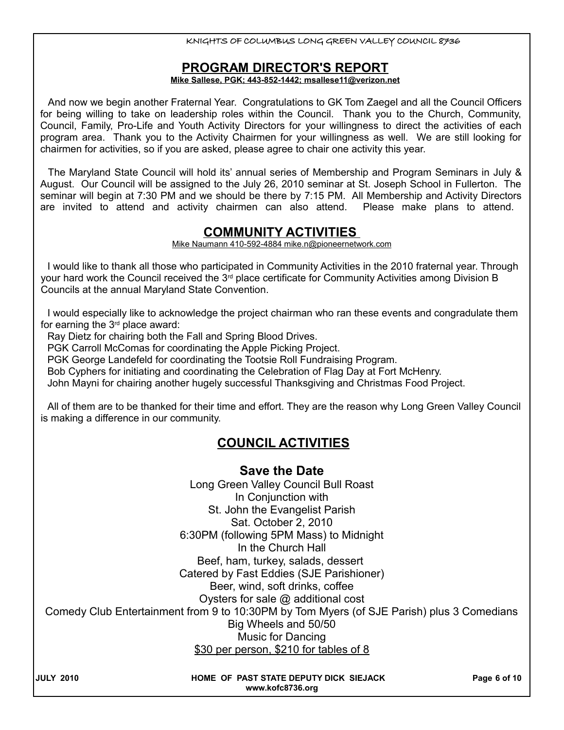#### **PROGRAM DIRECTOR'S REPORT**

#### **Mike Sallese, PGK; 443-852-1442; msallese11@verizon.net**

And now we begin another Fraternal Year. Congratulations to GK Tom Zaegel and all the Council Officers for being willing to take on leadership roles within the Council. Thank you to the Church, Community, Council, Family, Pro-Life and Youth Activity Directors for your willingness to direct the activities of each program area. Thank you to the Activity Chairmen for your willingness as well. We are still looking for chairmen for activities, so if you are asked, please agree to chair one activity this year.

The Maryland State Council will hold its' annual series of Membership and Program Seminars in July & August. Our Council will be assigned to the July 26, 2010 seminar at St. Joseph School in Fullerton. The seminar will begin at 7:30 PM and we should be there by 7:15 PM. All Membership and Activity Directors are invited to attend and activity chairmen can also attend. Please make plans to attend.

## **COMMUNITY ACTIVITIES**

Mike Naumann 410-592-4884 mike.n@pioneernetwork.com

I would like to thank all those who participated in Community Activities in the 2010 fraternal year. Through your hard work the Council received the  $3<sup>rd</sup>$  place certificate for Community Activities among Division B Councils at the annual Maryland State Convention.

I would especially like to acknowledge the project chairman who ran these events and congradulate them for earning the  $3<sup>rd</sup>$  place award:

Ray Dietz for chairing both the Fall and Spring Blood Drives.

PGK Carroll McComas for coordinating the Apple Picking Project.

PGK George Landefeld for coordinating the Tootsie Roll Fundraising Program.

Bob Cyphers for initiating and coordinating the Celebration of Flag Day at Fort McHenry.

John Mayni for chairing another hugely successful Thanksgiving and Christmas Food Project.

All of them are to be thanked for their time and effort. They are the reason why Long Green Valley Council is making a difference in our community.

## **COUNCIL ACTIVITIES**

**Save the Date** Long Green Valley Council Bull Roast In Conjunction with St. John the Evangelist Parish Sat. October 2, 2010 6:30PM (following 5PM Mass) to Midnight In the Church Hall Beef, ham, turkey, salads, dessert Catered by Fast Eddies (SJE Parishioner) Beer, wind, soft drinks, coffee Oysters for sale @ additional cost Comedy Club Entertainment from 9 to 10:30PM by Tom Myers (of SJE Parish) plus 3 Comedians Big Wheels and 50/50 Music for Dancing \$30 per person, \$210 for tables of 8

**HOME OF PAST STATE DEPUTY DICK SIEJACK PAGE 6 of 10 www.kofc8736.org**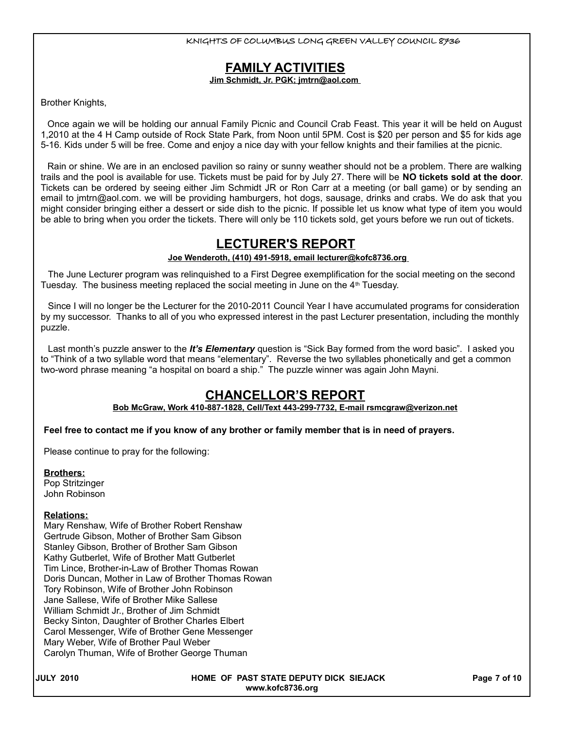## **FAMILY ACTIVITIES**

**Jim Schmidt, Jr. PGK; jmtrn@aol.com** 

Brother Knights,

Once again we will be holding our annual Family Picnic and Council Crab Feast. This year it will be held on August 1,2010 at the 4 H Camp outside of Rock State Park, from Noon until 5PM. Cost is \$20 per person and \$5 for kids age 5-16. Kids under 5 will be free. Come and enjoy a nice day with your fellow knights and their families at the picnic.

Rain or shine. We are in an enclosed pavilion so rainy or sunny weather should not be a problem. There are walking trails and the pool is available for use. Tickets must be paid for by July 27. There will be **NO tickets sold at the door**. Tickets can be ordered by seeing either Jim Schmidt JR or Ron Carr at a meeting (or ball game) or by sending an email to jmtrn@aol.com. we will be providing hamburgers, hot dogs, sausage, drinks and crabs. We do ask that you might consider bringing either a dessert or side dish to the picnic. If possible let us know what type of item you would be able to bring when you order the tickets. There will only be 110 tickets sold, get yours before we run out of tickets.

## **LECTURER'S REPORT**

 **Joe Wenderoth, (410) 491-5918, email lecturer@kofc8736.org**

The June Lecturer program was relinquished to a First Degree exemplification for the social meeting on the second Tuesday. The business meeting replaced the social meeting in June on the  $4<sup>th</sup>$  Tuesday.

Since I will no longer be the Lecturer for the 2010-2011 Council Year I have accumulated programs for consideration by my successor. Thanks to all of you who expressed interest in the past Lecturer presentation, including the monthly puzzle.

Last month's puzzle answer to the *It's Elementary* question is "Sick Bay formed from the word basic". I asked you to "Think of a two syllable word that means "elementary". Reverse the two syllables phonetically and get a common two-word phrase meaning "a hospital on board a ship." The puzzle winner was again John Mayni.

## **CHANCELLOR'S REPORT**

#### **Bob McGraw, Work 410-887-1828, Cell/Text 443-299-7732, E-mail rsmcgraw@verizon.net**

#### **Feel free to contact me if you know of any brother or family member that is in need of prayers.**

Please continue to pray for the following:

#### **Brothers:**

Pop Stritzinger John Robinson

#### **Relations:**

Mary Renshaw, Wife of Brother Robert Renshaw Gertrude Gibson, Mother of Brother Sam Gibson Stanley Gibson, Brother of Brother Sam Gibson Kathy Gutberlet, Wife of Brother Matt Gutberlet Tim Lince, Brother-in-Law of Brother Thomas Rowan Doris Duncan, Mother in Law of Brother Thomas Rowan Tory Robinson, Wife of Brother John Robinson Jane Sallese, Wife of Brother Mike Sallese William Schmidt Jr., Brother of Jim Schmidt Becky Sinton, Daughter of Brother Charles Elbert Carol Messenger, Wife of Brother Gene Messenger Mary Weber, Wife of Brother Paul Weber Carolyn Thuman, Wife of Brother George Thuman

| ່ 2010<br>JULY |
|----------------|
|----------------|

**HOME OF PAST STATE DEPUTY DICK SIEJACK PAGE 7 of 10 www.kofc8736.org**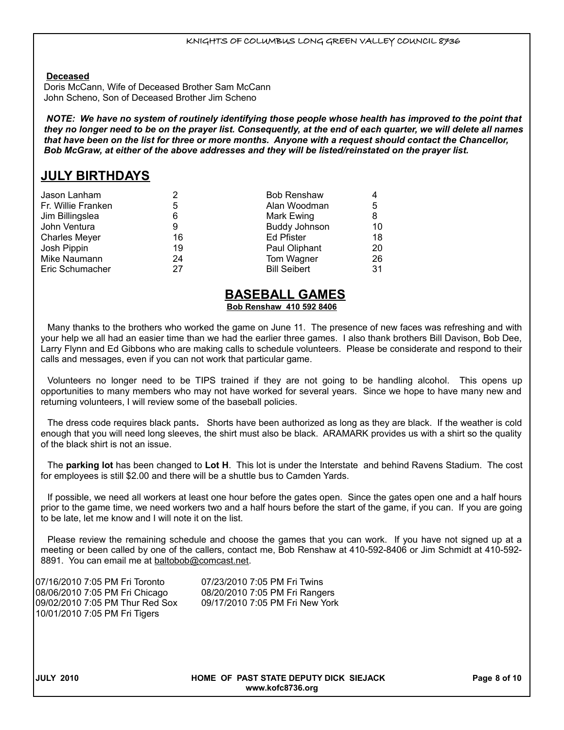#### **Deceased**

Doris McCann, Wife of Deceased Brother Sam McCann John Scheno, Son of Deceased Brother Jim Scheno

*NOTE: We have no system of routinely identifying those people whose health has improved to the point that they no longer need to be on the prayer list. Consequently, at the end of each quarter, we will delete all names that have been on the list for three or more months. Anyone with a request should contact the Chancellor, Bob McGraw, at either of the above addresses and they will be listed/reinstated on the prayer list.*

## **JULY BIRTHDAYS**

| 2  | <b>Bob Renshaw</b>   |    |
|----|----------------------|----|
| 5  | Alan Woodman         | 5  |
| 6  | Mark Ewing           | 8  |
| 9  | <b>Buddy Johnson</b> | 10 |
| 16 | Ed Pfister           | 18 |
| 19 | Paul Oliphant        | 20 |
| 24 | Tom Wagner           | 26 |
| 27 | <b>Bill Seibert</b>  | 31 |
|    |                      |    |

#### **BASEBALL GAMES Bob Renshaw 410 592 8406**

Many thanks to the brothers who worked the game on June 11. The presence of new faces was refreshing and with your help we all had an easier time than we had the earlier three games. I also thank brothers Bill Davison, Bob Dee, Larry Flynn and Ed Gibbons who are making calls to schedule volunteers. Please be considerate and respond to their calls and messages, even if you can not work that particular game.

Volunteers no longer need to be TIPS trained if they are not going to be handling alcohol. This opens up opportunities to many members who may not have worked for several years. Since we hope to have many new and returning volunteers, I will review some of the baseball policies.

The dress code requires black pants**.** Shorts have been authorized as long as they are black. If the weather is cold enough that you will need long sleeves, the shirt must also be black. ARAMARK provides us with a shirt so the quality of the black shirt is not an issue.

The **parking lot** has been changed to **Lot H**. This lot is under the Interstate and behind Ravens Stadium. The cost for employees is still \$2.00 and there will be a shuttle bus to Camden Yards.

If possible, we need all workers at least one hour before the gates open. Since the gates open one and a half hours prior to the game time, we need workers two and a half hours before the start of the game, if you can. If you are going to be late, let me know and I will note it on the list.

Please review the remaining schedule and choose the games that you can work. If you have not signed up at a meeting or been called by one of the callers, contact me, Bob Renshaw at 410-592-8406 or Jim Schmidt at 410-592- 8891. You can email me at baltobob@comcast.net.

07/16/2010 7:05 PM Fri Toronto 07/23/2010 7:05 PM Fri Twins 08/06/2010 7:05 PM Fri Chicago 08/20/2010 7:05 PM Fri Rangers 09/02/2010 7:05 PM Thur Red Sox 09/17/2010 7:05 PM Fri New York 10/01/2010 7:05 PM Fri Tigers

**JULY 2010 HOME OF PAST STATE DEPUTY DICK SIEJACK Page 8 of 10 www.kofc8736.org**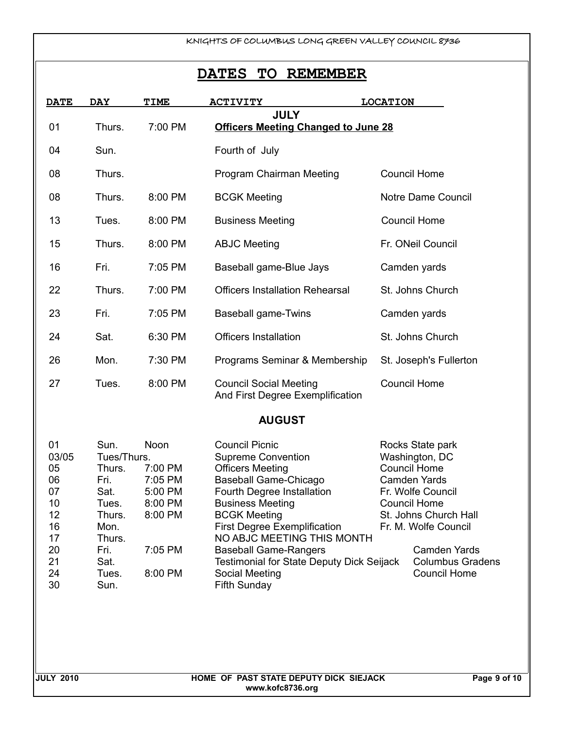## **DATES TO REMEMBER**

| <b>DATE</b> | <b>DAY</b> | TIME    | <b>ACTIVITY</b>                                                   | <b>LOCATION</b>        |
|-------------|------------|---------|-------------------------------------------------------------------|------------------------|
| 01          | Thurs.     | 7:00 PM | <b>JULY</b><br><b>Officers Meeting Changed to June 28</b>         |                        |
| 04          | Sun.       |         | Fourth of July                                                    |                        |
| 08          | Thurs.     |         | Program Chairman Meeting                                          | <b>Council Home</b>    |
| 08          | Thurs.     | 8:00 PM | <b>BCGK Meeting</b>                                               | Notre Dame Council     |
| 13          | Tues.      | 8:00 PM | <b>Business Meeting</b>                                           | <b>Council Home</b>    |
| 15          | Thurs.     | 8:00 PM | <b>ABJC Meeting</b>                                               | Fr. ONeil Council      |
| 16          | Fri.       | 7:05 PM | Baseball game-Blue Jays                                           | Camden yards           |
| 22          | Thurs.     | 7:00 PM | <b>Officers Installation Rehearsal</b>                            | St. Johns Church       |
| 23          | Fri.       | 7:05 PM | <b>Baseball game-Twins</b>                                        | Camden yards           |
| 24          | Sat.       | 6:30 PM | <b>Officers Installation</b>                                      | St. Johns Church       |
| 26          | Mon.       | 7:30 PM | Programs Seminar & Membership                                     | St. Joseph's Fullerton |
| 27          | Tues.      | 8:00 PM | <b>Council Social Meeting</b><br>And First Degree Exemplification | <b>Council Home</b>    |

#### **AUGUST**

| 01    | Sun.        | Noon    | <b>Council Picnic</b>                            | Rocks State park        |
|-------|-------------|---------|--------------------------------------------------|-------------------------|
| 03/05 | Tues/Thurs. |         | <b>Supreme Convention</b>                        | Washington, DC          |
| 05    | Thurs.      | 7:00 PM | <b>Officers Meeting</b>                          | <b>Council Home</b>     |
| 06    | Fri.        | 7:05 PM | <b>Baseball Game-Chicago</b>                     | Camden Yards            |
| 07    | Sat.        | 5:00 PM | Fourth Degree Installation                       | Fr. Wolfe Council       |
| 10    | Tues.       | 8:00 PM | <b>Business Meeting</b>                          | <b>Council Home</b>     |
| 12    | Thurs.      | 8:00 PM | <b>BCGK Meeting</b>                              | St. Johns Church Hall   |
| 16    | Mon.        |         | <b>First Degree Exemplification</b>              | Fr. M. Wolfe Council    |
| 17    | Thurs.      |         | NO ABJC MEETING THIS MONTH                       |                         |
| -20   | Fri.        | 7:05 PM | <b>Baseball Game-Rangers</b>                     | Camden Yards            |
| -21   | Sat.        |         | <b>Testimonial for State Deputy Dick Seijack</b> | <b>Columbus Gradens</b> |
| 24    | Tues.       | 8:00 PM | Social Meeting                                   | <b>Council Home</b>     |
| 30    | Sun.        |         | <b>Fifth Sunday</b>                              |                         |